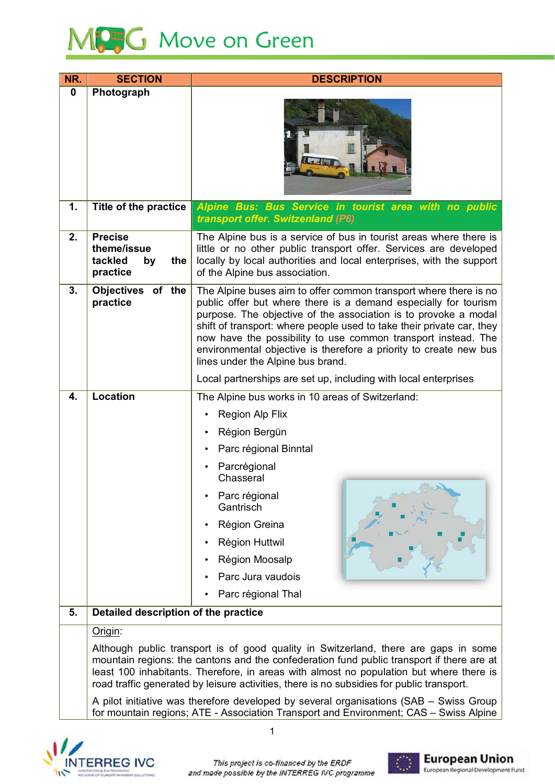

| NR.         | <b>SECTION</b>                                                                                                                                                                                                                                                                                                                                                           | <b>DESCRIPTION</b>                                                                                                                                                                                                                                                                                                                                                                                                                                         |  |  |  |  |
|-------------|--------------------------------------------------------------------------------------------------------------------------------------------------------------------------------------------------------------------------------------------------------------------------------------------------------------------------------------------------------------------------|------------------------------------------------------------------------------------------------------------------------------------------------------------------------------------------------------------------------------------------------------------------------------------------------------------------------------------------------------------------------------------------------------------------------------------------------------------|--|--|--|--|
| $\mathbf 0$ | Photograph                                                                                                                                                                                                                                                                                                                                                               |                                                                                                                                                                                                                                                                                                                                                                                                                                                            |  |  |  |  |
| 1.          | Title of the practice                                                                                                                                                                                                                                                                                                                                                    | Alpine Bus: Bus Service in tourist area with no public<br>transport offer. Switzenland (P6)                                                                                                                                                                                                                                                                                                                                                                |  |  |  |  |
| 2.          | <b>Precise</b><br>theme/issue<br>tackled<br>the<br>by<br>practice                                                                                                                                                                                                                                                                                                        | The Alpine bus is a service of bus in tourist areas where there is<br>little or no other public transport offer. Services are developed<br>locally by local authorities and local enterprises, with the support<br>of the Alpine bus association.                                                                                                                                                                                                          |  |  |  |  |
| 3.          | Objectives of the<br>practice                                                                                                                                                                                                                                                                                                                                            | The Alpine buses aim to offer common transport where there is no<br>public offer but where there is a demand especially for tourism<br>purpose. The objective of the association is to provoke a modal<br>shift of transport: where people used to take their private car, they<br>now have the possibility to use common transport instead. The<br>environmental objective is therefore a priority to create new bus<br>lines under the Alpine bus brand. |  |  |  |  |
|             |                                                                                                                                                                                                                                                                                                                                                                          | Local partnerships are set up, including with local enterprises                                                                                                                                                                                                                                                                                                                                                                                            |  |  |  |  |
| 4.          | <b>Location</b>                                                                                                                                                                                                                                                                                                                                                          | The Alpine bus works in 10 areas of Switzerland:                                                                                                                                                                                                                                                                                                                                                                                                           |  |  |  |  |
|             |                                                                                                                                                                                                                                                                                                                                                                          | <b>Region Alp Flix</b><br>$\bullet$                                                                                                                                                                                                                                                                                                                                                                                                                        |  |  |  |  |
|             |                                                                                                                                                                                                                                                                                                                                                                          | Région Bergün                                                                                                                                                                                                                                                                                                                                                                                                                                              |  |  |  |  |
|             |                                                                                                                                                                                                                                                                                                                                                                          | Parc régional Binntal                                                                                                                                                                                                                                                                                                                                                                                                                                      |  |  |  |  |
|             |                                                                                                                                                                                                                                                                                                                                                                          | Parcrégional<br>Chasseral                                                                                                                                                                                                                                                                                                                                                                                                                                  |  |  |  |  |
|             |                                                                                                                                                                                                                                                                                                                                                                          | $5 - 20$<br>Parc régional<br>Gantrisch                                                                                                                                                                                                                                                                                                                                                                                                                     |  |  |  |  |
|             |                                                                                                                                                                                                                                                                                                                                                                          | Région Greina                                                                                                                                                                                                                                                                                                                                                                                                                                              |  |  |  |  |
|             |                                                                                                                                                                                                                                                                                                                                                                          | <b>Région Huttwil</b>                                                                                                                                                                                                                                                                                                                                                                                                                                      |  |  |  |  |
|             |                                                                                                                                                                                                                                                                                                                                                                          | Région Moosalp                                                                                                                                                                                                                                                                                                                                                                                                                                             |  |  |  |  |
|             |                                                                                                                                                                                                                                                                                                                                                                          | Parc Jura vaudois                                                                                                                                                                                                                                                                                                                                                                                                                                          |  |  |  |  |
|             |                                                                                                                                                                                                                                                                                                                                                                          | Parc régional Thal                                                                                                                                                                                                                                                                                                                                                                                                                                         |  |  |  |  |
| 5.          | Detailed description of the practice                                                                                                                                                                                                                                                                                                                                     |                                                                                                                                                                                                                                                                                                                                                                                                                                                            |  |  |  |  |
|             | Origin:                                                                                                                                                                                                                                                                                                                                                                  |                                                                                                                                                                                                                                                                                                                                                                                                                                                            |  |  |  |  |
|             | Although public transport is of good quality in Switzerland, there are gaps in some<br>mountain regions: the cantons and the confederation fund public transport if there are at<br>least 100 inhabitants. Therefore, in areas with almost no population but where there is<br>road traffic generated by leisure activities, there is no subsidies for public transport. |                                                                                                                                                                                                                                                                                                                                                                                                                                                            |  |  |  |  |
|             | A pilot initiative was therefore developed by several organisations (SAB – Swiss Group<br>for mountain regions; ATE - Association Transport and Environment; CAS - Swiss Alpine                                                                                                                                                                                          |                                                                                                                                                                                                                                                                                                                                                                                                                                                            |  |  |  |  |



 $\overline{1}$ 

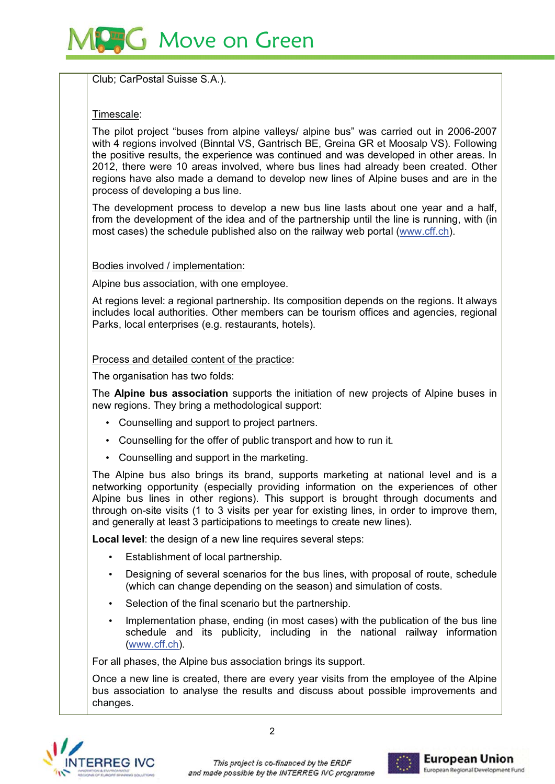# **G** Move on Green

Club; CarPostal Suisse S.A.).

## Timescale:

The pilot project "buses from alpine valleys/ alpine bus" was carried out in 2006-2007 with 4 regions involved (Binntal VS, Gantrisch BE, Greina GR et Moosalp VS), Following the positive results, the experience was continued and was developed in other areas. In 2012, there were 10 areas involved, where bus lines had already been created. Other regions have also made a demand to develop new lines of Alpine buses and are in the process of developing a bus line.

The development process to develop a new bus line lasts about one year and a half, from the development of the idea and of the partnership until the line is running, with (in most cases) the schedule published also on the railway web portal (www.cff.ch).

## Bodies involved / implementation:

Alpine bus association, with one employee.

At regions level: a regional partnership. Its composition depends on the regions. It always includes local authorities. Other members can be tourism offices and agencies, regional Parks, local enterprises (e.g. restaurants, hotels).

### Process and detailed content of the practice:

The organisation has two folds:

The Alpine bus association supports the initiation of new projects of Alpine buses in new regions. They bring a methodological support:

- Counselling and support to project partners.
- Counselling for the offer of public transport and how to run it.
- Counselling and support in the marketing.

The Alpine bus also brings its brand, supports marketing at national level and is a networking opportunity (especially providing information on the experiences of other Alpine bus lines in other regions). This support is brought through documents and through on-site visits (1 to 3 visits per year for existing lines, in order to improve them, and generally at least 3 participations to meetings to create new lines).

Local level: the design of a new line requires several steps:

- Establishment of local partnership.
- Designing of several scenarios for the bus lines, with proposal of route, schedule (which can change depending on the season) and simulation of costs.
- Selection of the final scenario but the partnership.
- Implementation phase, ending (in most cases) with the publication of the bus line schedule and its publicity, including in the national railway information (www.cff.ch).

For all phases, the Alpine bus association brings its support.

Once a new line is created, there are every year visits from the employee of the Alpine bus association to analyse the results and discuss about possible improvements and changes.



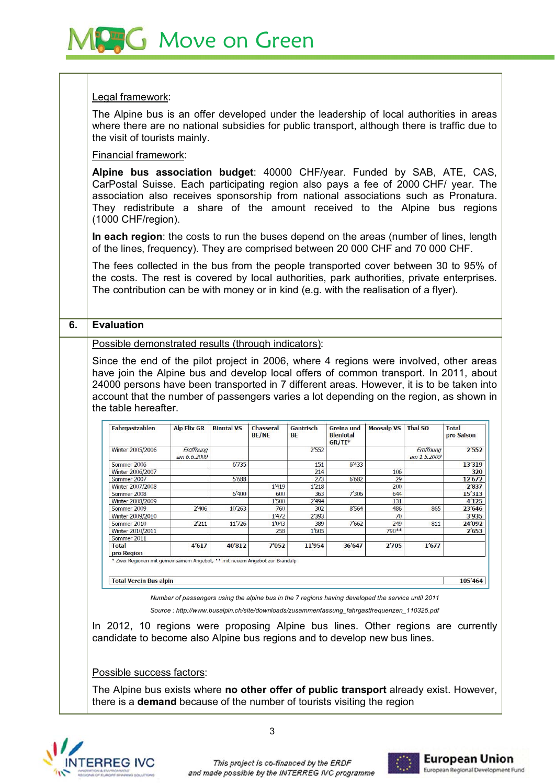# **Move on Green**

#### Legal framework:

The Alpine bus is an offer developed under the leadership of local authorities in areas where there are no national subsidies for public transport, although there is traffic due to the visit of tourists mainly.

### Financial framework:

Alpine bus association budget: 40000 CHF/year. Funded by SAB, ATE, CAS, CarPostal Suisse. Each participating region also pays a fee of 2000 CHF/ year. The association also receives sponsorship from national associations such as Pronatura. They redistribute a share of the amount received to the Alpine bus regions  $(1000 \text{ CHF/reaction}).$ 

In each region: the costs to run the buses depend on the areas (number of lines, length of the lines, frequency). They are comprised between 20 000 CHF and 70 000 CHF.

The fees collected in the bus from the people transported cover between 30 to 95% of the costs. The rest is covered by local authorities, park authorities, private enterprises, The contribution can be with money or in kind (e.g. with the realisation of a flyer).

### **6. Evaluation**

Possible demonstrated results (through indicators):

Since the end of the pilot project in 2006, where 4 regions were involved, other areas have join the Alpine bus and develop local offers of common transport. In 2011, about 24000 persons have been transported in 7 different areas. However, it is to be taken into account that the number of passengers varies a lot depending on the region, as shown in the table hereafter.

| <b>Fahrgastzahlen</b>      | <b>Alp Flix GR</b>       | <b>Binntal VS</b> | Chasseral<br><b>BE/NE</b> | Gantrisch<br>BE | Greina und<br><b>Bleniotal</b><br>$GR/TI^*$ | <b>Moosalp VS</b> | <b>Thal SO</b>           | Total<br>pro Saison |
|----------------------------|--------------------------|-------------------|---------------------------|-----------------|---------------------------------------------|-------------------|--------------------------|---------------------|
| Winter 2005/2006           | Eröffnung<br>am 6.6.2009 |                   |                           | 2'552           |                                             |                   | Eröffnung<br>am 1.5,2009 | 2'552               |
| Sommer 2006                |                          | 6'735             |                           | 151             | 6'433                                       |                   |                          | 13'319              |
| Winter 2006/2007           |                          |                   |                           | 214             |                                             | 106               |                          | 320                 |
| Sommer 2007                |                          | 5'688             |                           | 273             | 6'682                                       | 29                |                          | 12'672              |
| <b>Winter 2007/2008</b>    |                          |                   | 1'419                     | 1'218           |                                             | 200               |                          | 2'837               |
| Sommer 2008                |                          | 6'400             | 600                       | 363             | 7'306                                       | 644               |                          | 15'313              |
| Winter 2008/2009           |                          |                   | 1'500                     | 2'494           |                                             | 131               |                          | 4'125               |
| Sommer 2009                | 2'406                    | 10'263            | 760                       | 302             | 8'564                                       | 486               | 865                      | 23'646              |
| Winter 2009/2010           |                          |                   | 1'472                     | 2'393           |                                             | 70                |                          | 3'935               |
| Sommer 2010                | 2'211                    | 11'726            | 1'043                     | 389             | 7'662                                       | 249               | 811                      | 24'092              |
| Winter 2010/2011           |                          |                   | 258                       | 1'605           |                                             | 790**             |                          | 2'653               |
| Sommer 2011                |                          |                   |                           |                 |                                             |                   |                          |                     |
| <b>Total</b><br>pro Region | 4'617                    | 40'812            | 7'052                     | 11'954          | 36'647                                      | 2'705             | 1'677                    |                     |

**Total Verein Bus alpin** 

105'464

*Number of passengers using the alpine bus in the 7 regions having developed the service until 2011* 

*Source : http://www.busalpin.ch/site/downloads/zusammenfassung\_fahrgastfrequenzen\_110325.pdf* 

In 2012, 10 regions were proposing Alpine bus lines. Other regions are currently candidate to become also Alpine bus regions and to develop new bus lines.

Possible success factors:

The Alpine bus exists where no other offer of public transport already exist. However, there is a **demand** because of the number of tourists visiting the region